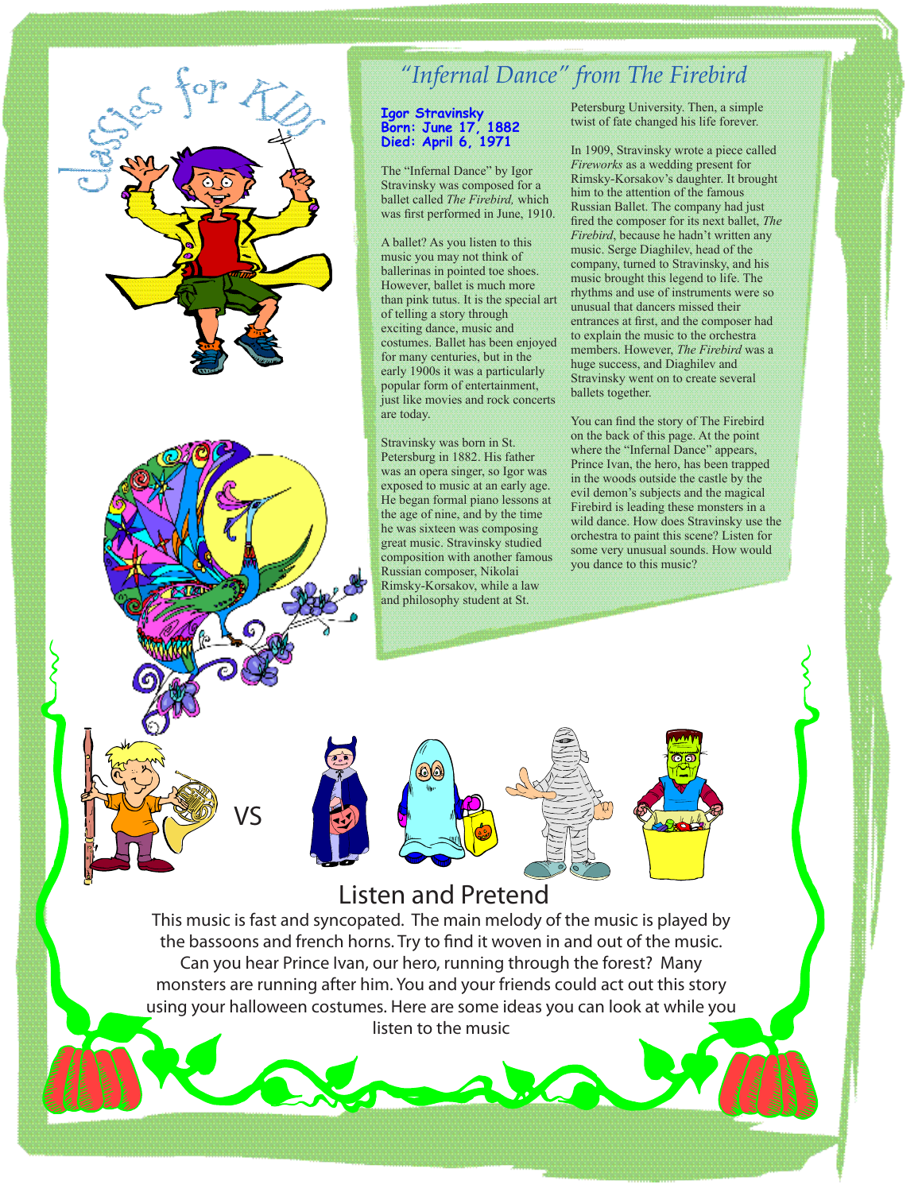

## *"Infernal Dance" from The Firebird*

## **Igor Stravinsky Born: June 17, 1882 Died: April 6, 1971**

The "Infernal Dance" by Igor Stravinsky was composed for a ballet called *The Firebird,* which was first performed in June, 1910.

A ballet? As you listen to this music you may not think of ballerinas in pointed toe shoes. However, ballet is much more than pink tutus. It is the special art of telling a story through exciting dance, music and costumes. Ballet has been enjoyed for many centuries, but in the early 1900s it was a particularly popular form of entertainment, just like movies and rock concerts are today.

Stravinsky was born in St. Petersburg in 1882. His father was an opera singer, so Igor was exposed to music at an early age. He began formal piano lessons at the age of nine, and by the time he was sixteen was composing great music. Stravinsky studied composition with another famous Russian composer, Nikolai Rimsky-Korsakov, while a law and philosophy student at St.

Petersburg University. Then, a simple twist of fate changed his life forever.

In 1909, Stravinsky wrote a piece called *Fireworks* as a wedding present for Rimsky-Korsakov's daughter. It brought him to the attention of the famous Russian Ballet. The company had just fired the composer for its next ballet, *The Firebird*, because he hadn't written any music. Serge Diaghilev, head of the company, turned to Stravinsky, and his music brought this legend to life. The rhythms and use of instruments were so unusual that dancers missed their entrances at first, and the composer had to explain the music to the orchestra members. However, *The Firebird* was a huge success, and Diaghilev and Stravinsky went on to create several ballets together.

You can find the story of The Firebird on the back of this page. At the point where the "Infernal Dance" appears, Prince Ivan, the hero, has been trapped in the woods outside the castle by the evil demon's subjects and the magical Firebird is leading these monsters in a wild dance. How does Stravinsky use the orchestra to paint this scene? Listen for some very unusual sounds. How would you dance to this music?

Listen and Pretend

This music is fast and syncopated. The main melody of the music is played by the bassoons and french horns. Try to find it woven in and out of the music. Can you hear Prince Ivan, our hero, running through the forest? Many monsters are running after him. You and your friends could act out this story using your halloween costumes. Here are some ideas you can look at while you listen to the music